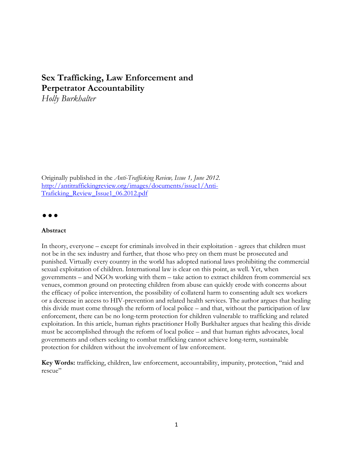## **Sex Trafficking, Law Enforcement and Perpetrator Accountability**

*Holly Burkhalter*

Originally published in the *Anti-Trafficking Review, Issue 1, June 2012.*  [http://antitraffickingreview.org/images/documents/issue1/Anti-](http://antitraffickingreview.org/images/documents/issue1/Anti-Traficking_Review_Issue1_06.2012.pdf)[Traficking\\_Review\\_Issue1\\_06.2012.pdf](http://antitraffickingreview.org/images/documents/issue1/Anti-Traficking_Review_Issue1_06.2012.pdf)

 $\bullet$   $\bullet$   $\bullet$ 

## **Abstract**

In theory, everyone – except for criminals involved in their exploitation - agrees that children must not be in the sex industry and further, that those who prey on them must be prosecuted and punished. Virtually every country in the world has adopted national laws prohibiting the commercial sexual exploitation of children. International law is clear on this point, as well. Yet, when governments – and NGOs working with them – take action to extract children from commercial sex venues, common ground on protecting children from abuse can quickly erode with concerns about the efficacy of police intervention, the possibility of collateral harm to consenting adult sex workers or a decrease in access to HIV-prevention and related health services. The author argues that healing this divide must come through the reform of local police – and that, without the participation of law enforcement, there can be no long-term protection for children vulnerable to trafficking and related exploitation. In this article, human rights practitioner Holly Burkhalter argues that healing this divide must be accomplished through the reform of local police – and that human rights advocates, local governments and others seeking to combat trafficking cannot achieve long-term, sustainable protection for children without the involvement of law enforcement.

**Key Words:** trafficking, children, law enforcement, accountability, impunity, protection, "raid and rescue"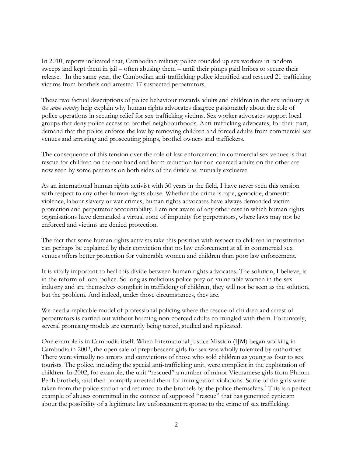In 2010, reports indicated that, Cambodian military police rounded up sex workers in random sweeps and kept them in jail – often abusing them – until their pimps paid bribes to secure their release.<sup>1</sup> In the same year, the Cambodian anti-trafficking police identified and rescued 21 trafficking victims from brothels and arrested 17 suspected perpetrators.

These two factual descriptions of police behaviour towards adults and children in the sex industry *in the same country* help explain why human rights advocates disagree passionately about the role of police operations in securing relief for sex trafficking victims. Sex worker advocates support local groups that deny police access to brothel neighbourhoods. Anti-trafficking advocates, for their part, demand that the police enforce the law by removing children and forced adults from commercial sex venues and arresting and prosecuting pimps, brothel owners and traffickers.

The consequence of this tension over the role of law enforcement in commercial sex venues is that rescue for children on the one hand and harm reduction for non-coerced adults on the other are now seen by some partisans on both sides of the divide as mutually exclusive.

As an international human rights activist with 30 years in the field, I have never seen this tension with respect to any other human rights abuse. Whether the crime is rape, genocide, domestic violence, labour slavery or war crimes, human rights advocates have always demanded victim protection and perpetrator accountability. I am not aware of any other case in which human rights organisations have demanded a virtual zone of impunity for perpetrators, where laws may not be enforced and victims are denied protection.

The fact that some human rights activists take this position with respect to children in prostitution can perhaps be explained by their conviction that no law enforcement at all in commercial sex venues offers better protection for vulnerable women and children than poor law enforcement.

It is vitally important to heal this divide between human rights advocates. The solution, I believe, is in the reform of local police. So long as malicious police prey on vulnerable women in the sex industry and are themselves complicit in trafficking of children, they will not be seen as the solution, but the problem. And indeed, under those circumstances, they are.

We need a replicable model of professional policing where the rescue of children and arrest of perpetrators is carried out without harming non-coerced adults co-mingled with them. Fortunately, several promising models are currently being tested, studied and replicated.

One example is in Cambodia itself. When International Justice Mission (IJM) began working in Cambodia in 2002, the open sale of prepubescent girls for sex was wholly tolerated by authorities. There were virtually no arrests and convictions of those who sold children as young as four to sex tourists. The police, including the special anti-trafficking unit, were complicit in the exploitation of children. In 2002, for example, the unit "rescued" a number of minor Vietnamese girls from Phnom Penh brothels, and then promptly arrested them for immigration violations. Some of the girls were taken from the police station and returned to the brothels by the police themselves.<sup>ii</sup> This is a perfect example of abuses committed in the context of supposed "rescue" that has generated cynicism about the possibility of a legitimate law enforcement response to the crime of sex trafficking.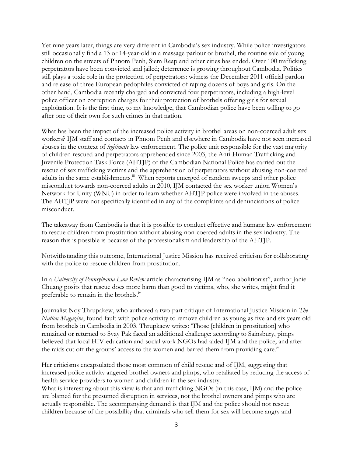Yet nine years later, things are very different in Cambodia's sex industry. While police investigators still occasionally find a 13 or 14-year-old in a massage parlour or brothel, the routine sale of young children on the streets of Phnom Penh, Siem Reap and other cities has ended. Over 100 trafficking perpetrators have been convicted and jailed; deterrence is growing throughout Cambodia. Politics still plays a toxic role in the protection of perpetrators: witness the December 2011 official pardon and release of three European pedophiles convicted of raping dozens of boys and girls. On the other hand, Cambodia recently charged and convicted four perpetrators, including a high-level police officer on corruption charges for their protection of brothels offering girls for sexual exploitation. It is the first time, to my knowledge, that Cambodian police have been willing to go after one of their own for such crimes in that nation.

What has been the impact of the increased police activity in brothel areas on non-coerced adult sex workers? IJM staff and contacts in Phnom Penh and elsewhere in Cambodia have not seen increased abuses in the context of *legitimate* law enforcement. The police unit responsible for the vast majority of children rescued and perpetrators apprehended since 2003, the Anti-Human Trafficking and Juvenile Protection Task Force (AHTJP) of the Cambodian National Police has carried out the rescue of sex trafficking victims and the apprehension of perpetrators without abusing non-coerced adults in the same establishments.<sup>iii</sup> When reports emerged of random sweeps and other police misconduct towards non-coerced adults in 2010, IJM contacted the sex worker union Women's Network for Unity (WNU) in order to learn whether AHTJP police were involved in the abuses. The AHTJP were not specifically identified in any of the complaints and denunciations of police misconduct.

The takeaway from Cambodia is that it is possible to conduct effective and humane law enforcement to rescue children from prostitution without abusing non-coerced adults in the sex industry. The reason this is possible is because of the professionalism and leadership of the AHTJP.

Notwithstanding this outcome, International Justice Mission has received criticism for collaborating with the police to rescue children from prostitution.

In a *University of Pennsylvania Law Review* article characterising IJM as "neo-abolitionist", author Janie Chuang posits that rescue does more harm than good to victims, who, she writes, might find it preferable to remain in the brothels.<sup>iv</sup>

Journalist Noy Thrupakew, who authored a two-part critique of International Justice Mission in *The Nation Magazine*, found fault with police activity to remove children as young as five and six years old from brothels in Cambodia in 2003. Thrupkaew writes: 'Those [children in prostitution] who remained or returned to Svay Pak faced an additional challenge: according to Sainsbury, pimps believed that local HIV-education and social work NGOs had aided IJM and the police, and after the raids cut off the groups' access to the women and barred them from providing care. $v$ 

Her criticisms encapsulated those most common of child rescue and of IJM, suggesting that increased police activity angered brothel owners and pimps, who retaliated by reducing the access of health service providers to women and children in the sex industry.

What is interesting about this view is that anti-trafficking NGOs (in this case, IJM) and the police are blamed for the presumed disruption in services, not the brothel owners and pimps who are actually responsible. The accompanying demand is that IJM and the police should not rescue children because of the possibility that criminals who sell them for sex will become angry and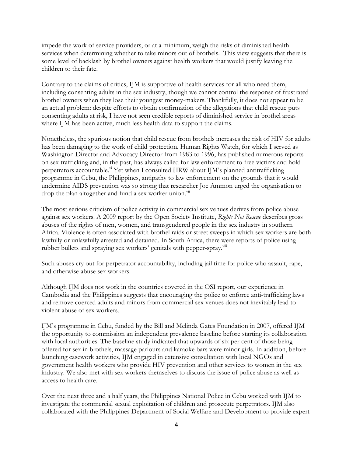impede the work of service providers, or at a minimum, weigh the risks of diminished health services when determining whether to take minors out of brothels. This view suggests that there is some level of backlash by brothel owners against health workers that would justify leaving the children to their fate.

Contrary to the claims of critics, IJM is supportive of health services for all who need them, including consenting adults in the sex industry, though we cannot control the response of frustrated brothel owners when they lose their youngest money-makers. Thankfully, it does not appear to be an actual problem: despite efforts to obtain confirmation of the allegations that child rescue puts consenting adults at risk, I have not seen credible reports of diminished service in brothel areas where IJM has been active, much less health data to support the claims.

Nonetheless, the spurious notion that child rescue from brothels increases the risk of HIV for adults has been damaging to the work of child protection. Human Rights Watch, for which I served as Washington Director and Advocacy Director from 1983 to 1996, has published numerous reports on sex trafficking and, in the past, has always called for law enforcement to free victims and hold perpetrators accountable.<sup>vi</sup> Yet when I consulted HRW about IJM's planned antitrafficking programme in Cebu, the Philippines, antipathy to law enforcement on the grounds that it would undermine AIDS prevention was so strong that researcher Joe Ammon urged the organisation to drop the plan altogether and fund a sex worker union.<sup>vii</sup>

The most serious criticism of police activity in commercial sex venues derives from police abuse against sex workers. A 2009 report by the Open Society Institute, *Rights Not Rescue* describes gross abuses of the rights of men, women, and transgendered people in the sex industry in southern Africa. Violence is often associated with brothel raids or street sweeps in which sex workers are both lawfully or unlawfully arrested and detained. In South Africa, there were reports of police using rubber bullets and spraying sex workers' genitals with pepper-spray. Viii

Such abuses cry out for perpetrator accountability, including jail time for police who assault, rape, and otherwise abuse sex workers.

Although IJM does not work in the countries covered in the OSI report, our experience in Cambodia and the Philippines suggests that encouraging the police to enforce anti-trafficking laws and remove coerced adults and minors from commercial sex venues does not inevitably lead to violent abuse of sex workers.

IJM's programme in Cebu, funded by the Bill and Melinda Gates Foundation in 2007, offered IJM the opportunity to commission an independent prevalence baseline before starting its collaboration with local authorities. The baseline study indicated that upwards of six per cent of those being offered for sex in brothels, massage parlours and karaoke bars were minor girls. In addition, before launching casework activities, IJM engaged in extensive consultation with local NGOs and government health workers who provide HIV prevention and other services to women in the sex industry. We also met with sex workers themselves to discuss the issue of police abuse as well as access to health care.

Over the next three and a half years, the Philippines National Police in Cebu worked with IJM to investigate the commercial sexual exploitation of children and prosecute perpetrators. IJM also collaborated with the Philippines Department of Social Welfare and Development to provide expert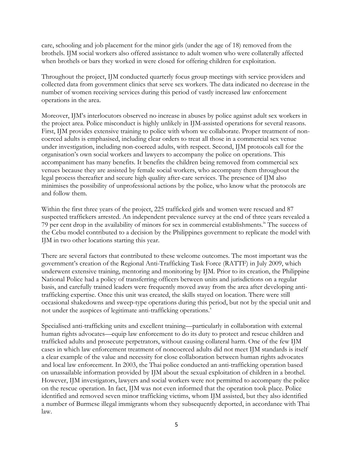care, schooling and job placement for the minor girls (under the age of 18) removed from the brothels. IJM social workers also offered assistance to adult women who were collaterally affected when brothels or bars they worked in were closed for offering children for exploitation.

Throughout the project, IJM conducted quarterly focus group meetings with service providers and collected data from government clinics that serve sex workers. The data indicated no decrease in the number of women receiving services during this period of vastly increased law enforcement operations in the area.

Moreover, IJM's interlocutors observed no increase in abuses by police against adult sex workers in the project area. Police misconduct is highly unlikely in IJM-assisted operations for several reasons. First, IJM provides extensive training to police with whom we collaborate. Proper treatment of noncoerced adults is emphasised, including clear orders to treat all those in a commercial sex venue under investigation, including non-coerced adults, with respect. Second, IJM protocols call for the organisation's own social workers and lawyers to accompany the police on operations. This accompaniment has many benefits. It benefits the children being removed from commercial sex venues because they are assisted by female social workers, who accompany them throughout the legal process thereafter and secure high quality after-care services. The presence of IJM also minimises the possibility of unprofessional actions by the police, who know what the protocols are and follow them.

Within the first three years of the project, 225 trafficked girls and women were rescued and 87 suspected traffickers arrested. An independent prevalence survey at the end of three years revealed a 79 per cent drop in the availability of minors for sex in commercial establishments.<sup>ix</sup> The success of the Cebu model contributed to a decision by the Philippines government to replicate the model with IJM in two other locations starting this year.

There are several factors that contributed to these welcome outcomes. The most important was the government's creation of the Regional Anti-Trafficking Task Force (RATTF) in July 2009, which underwent extensive training, mentoring and monitoring by IJM. Prior to its creation, the Philippine National Police had a policy of transferring officers between units and jurisdictions on a regular basis, and carefully trained leaders were frequently moved away from the area after developing antitrafficking expertise. Once this unit was created, the skills stayed on location. There were still occasional shakedowns and sweep-type operations during this period, but not by the special unit and not under the auspices of legitimate anti-trafficking operations.<sup>x</sup>

Specialised anti-trafficking units and excellent training—particularly in collaboration with external human rights advocates—equip law enforcement to do its duty to protect and rescue children and trafficked adults and prosecute perpetrators, without causing collateral harm. One of the few IJM cases in which law enforcement treatment of noncoerced adults did not meet IJM standards is itself a clear example of the value and necessity for close collaboration between human rights advocates and local law enforcement. In 2003, the Thai police conducted an anti-trafficking operation based on unassailable information provided by IJM about the sexual exploitation of children in a brothel. However, IJM investigators, lawyers and social workers were not permitted to accompany the police on the rescue operation. In fact, IJM was not even informed that the operation took place. Police identified and removed seven minor trafficking victims, whom IJM assisted, but they also identified a number of Burmese illegal immigrants whom they subsequently deported, in accordance with Thai law.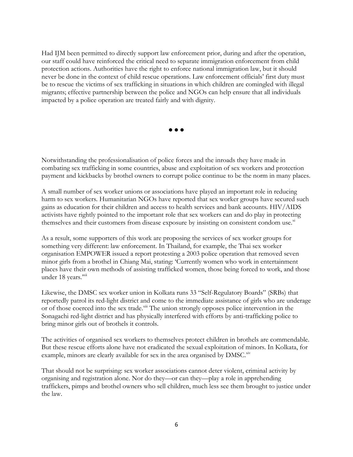Had IJM been permitted to directly support law enforcement prior, during and after the operation, our staff could have reinforced the critical need to separate immigration enforcement from child protection actions. Authorities have the right to enforce national immigration law, but it should never be done in the context of child rescue operations. Law enforcement officials' first duty must be to rescue the victims of sex trafficking in situations in which children are comingled with illegal migrants; effective partnership between the police and NGOs can help ensure that all individuals impacted by a police operation are treated fairly and with dignity.

 $\bullet$   $\bullet$   $\bullet$ 

Notwithstanding the professionalisation of police forces and the inroads they have made in combating sex trafficking in some countries, abuse and exploitation of sex workers and protection payment and kickbacks by brothel owners to corrupt police continue to be the norm in many places.

A small number of sex worker unions or associations have played an important role in reducing harm to sex workers. Humanitarian NGOs have reported that sex worker groups have secured such gains as education for their children and access to health services and bank accounts. HIV/AIDS activists have rightly pointed to the important role that sex workers can and do play in protecting themselves and their customers from disease exposure by insisting on consistent condom use. $^{\rm xi}$ 

As a result, some supporters of this work are proposing the services of sex worker groups for something very different: law enforcement. In Thailand, for example, the Thai sex worker organisation EMPOWER issued a report protesting a 2003 police operation that removed seven minor girls from a brothel in Chiang Mai, stating: 'Currently women who work in entertainment places have their own methods of assisting trafficked women, those being forced to work, and those under 18 years."

Likewise, the DMSC sex worker union in Kolkata runs 33 "Self-Regulatory Boards" (SRBs) that reportedly patrol its red-light district and come to the immediate assistance of girls who are underage or of those coerced into the sex trade.<sup>xiii</sup> The union strongly opposes police intervention in the Sonagachi red-light district and has physically interfered with efforts by anti-trafficking police to bring minor girls out of brothels it controls.

The activities of organised sex workers to themselves protect children in brothels are commendable. But these rescue efforts alone have not eradicated the sexual exploitation of minors. In Kolkata, for example, minors are clearly available for sex in the area organised by  $DMSC<sub>xiv</sub>$ 

That should not be surprising: sex worker associations cannot deter violent, criminal activity by organising and registration alone. Nor do they—or can they—play a role in apprehending traffickers, pimps and brothel owners who sell children, much less see them brought to justice under the law.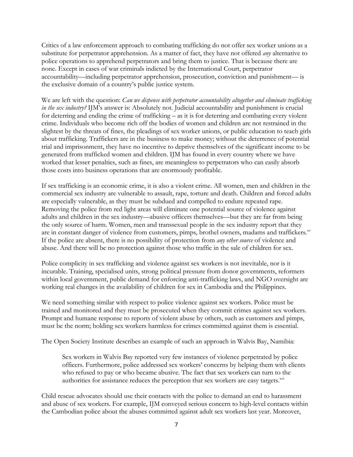Critics of a law enforcement approach to combating trafficking do not offer sex worker unions as a substitute for perpetrator apprehension. As a matter of fact, they have not offered *any* alternative to police operations to apprehend perpetrators and bring them to justice. That is because there are none. Except in cases of war criminals indicted by the International Court, perpetrator accountability—including perpetrator apprehension, prosecution, conviction and punishment— is the exclusive domain of a country's public justice system.

We are left with the question: *Can we dispense with perpetrator accountability altogether and eliminate trafficking in the sex industry?* IJM's answer is: Absolutely not. Judicial accountability and punishment is crucial for deterring and ending the crime of trafficking – as it is for deterring and combating every violent crime. Individuals who become rich off the bodies of women and children are not restrained in the slightest by the threats of fines, the pleadings of sex worker unions, or public education to teach girls about trafficking. Traffickers are in the business to make money; without the deterrence of potential trial and imprisonment, they have no incentive to deprive themselves of the significant income to be generated from trafficked women and children. IJM has found in every country where we have worked that lesser penalties, such as fines, are meaningless to perpetrators who can easily absorb those costs into business operations that are enormously profitable.

If sex trafficking is an economic crime, it is also a violent crime. All women, men and children in the commercial sex industry are vulnerable to assault, rape, torture and death. Children and forced adults are especially vulnerable, as they must be subdued and compelled to endure repeated rape. Removing the police from red light areas will eliminate one potential source of violence against adults and children in the sex industry—abusive officers themselves—but they are far from being the only source of harm. Women, men and transsexual people in the sex industry report that they are in constant danger of violence from customers, pimps, brothel owners, madams and traffickers.<sup>xv</sup> If the police are absent, there is no possibility of protection from *any other source* of violence and abuse. And there will be no protection against those who traffic in the sale of children for sex.

Police complicity in sex trafficking and violence against sex workers is not inevitable, nor is it incurable. Training, specialised units, strong political pressure from donor governments, reformers within local government, public demand for enforcing anti-trafficking laws, and NGO oversight are working real changes in the availability of children for sex in Cambodia and the Philippines.

We need something similar with respect to police violence against sex workers. Police must be trained and monitored and they must be prosecuted when they commit crimes against sex workers. Prompt and humane response to reports of violent abuse by others, such as customers and pimps, must be the norm; holding sex workers harmless for crimes committed against them is essential.

The Open Society Institute describes an example of such an approach in Walvis Bay, Namibia:

Sex workers in Walvis Bay reported very few instances of violence perpetrated by police officers. Furthermore, police addressed sex workers' concerns by helping them with clients who refused to pay or who became abusive. The fact that sex workers can turn to the authorities for assistance reduces the perception that sex workers are easy targets.<sup>xvi</sup>

Child rescue advocates should use their contacts with the police to demand an end to harassment and abuse of sex workers. For example, IJM conveyed serious concern to high-level contacts within the Cambodian police about the abuses committed against adult sex workers last year. Moreover,